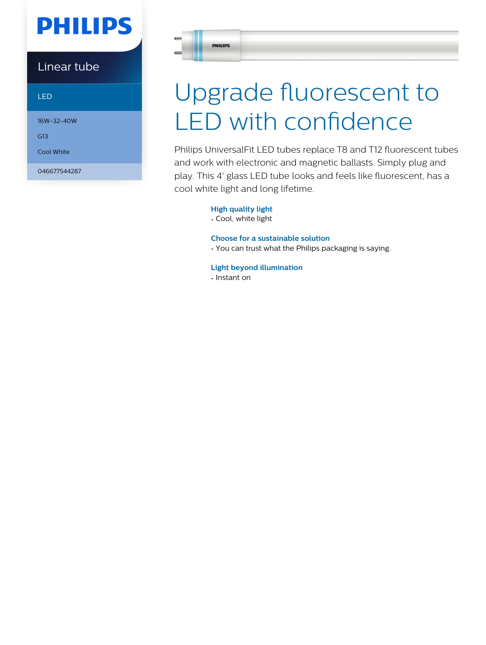# **PHILIPS**

### Linear tube

LED

16W-32-40W

G13

Cool White

046677544287

# Upgrade fluorescent to LED with confidence

Philips UniversalFit LED tubes replace T8 and T12 fluorescent tubes and work with electronic and magnetic ballasts. Simply plug and play. This 4' glass LED tube looks and feels like fluorescent, has a cool white light and long lifetime.

### **High quality light**

• Cool, white light

#### **Choose for a sustainable solution**

• You can trust what the Philips packaging is saying.

#### **Light beyond illumination**

• Instant on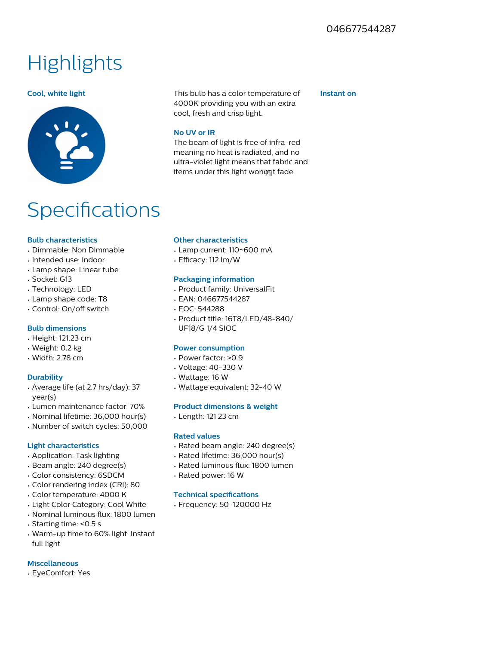## **Highlights**



## **Specifications**

#### **Bulb characteristics**

- Dimmable: Non Dimmable
- Intended use: Indoor
- Lamp shape: Linear tube
- Socket: G13
- Technology: LED
- Lamp shape code: T8
- Control: On/off switch

#### **Bulb dimensions**

- Height: 121.23 cm
- Weight: 0.2 kg
- Width: 2.78 cm

#### **Durability**

- Average life (at 2.7 hrs/day): 37 year(s)
- Lumen maintenance factor: 70%
- Nominal lifetime: 36,000 hour(s)
- Number of switch cycles: 50,000

#### **Light characteristics**

- Application: Task lighting
- Beam angle: 240 degree(s)
- Color consistency: 6SDCM
- Color rendering index (CRI): 80
- Color temperature: 4000 K
- Light Color Category: Cool White
- Nominal luminous flux: 1800 lumen
- Starting time: <0.5 s
- Warm-up time to 60% light: Instant full light

#### **Miscellaneous**

• EyeComfort: Yes

#### **Cool, white light** This bulb has a color temperature of 4000K providing you with an extra cool, fresh and crisp light.

The beam of light is free of infra-red meaning no heat is radiated, and no ultra-violet light means that fabric and items under this light won  $\phi$  at fade.

#### **Instant on**

**No UV or IR**

#### **Other characteristics**

- Lamp current: 110~600 mA
- Efficacy: 112 lm/W

#### **Packaging information**

- Product family: UniversalFit
- EAN: 046677544287
- EOC: 544288
- Product title: 16T8/LED/48-840/ UF18/G 1/4 SIOC

#### **Power consumption**

- Power factor: >0.9
- Voltage: 40-330 V
- Wattage: 16 W
- Wattage equivalent: 32-40 W

#### **Product dimensions & weight**

• Length: 121.23 cm

#### **Rated values**

- Rated beam angle: 240 degree(s)
- Rated lifetime: 36,000 hour(s)
- Rated luminous flux: 1800 lumen
- Rated power: 16 W

#### **Technical specifications**

• Frequency: 50-120000 Hz